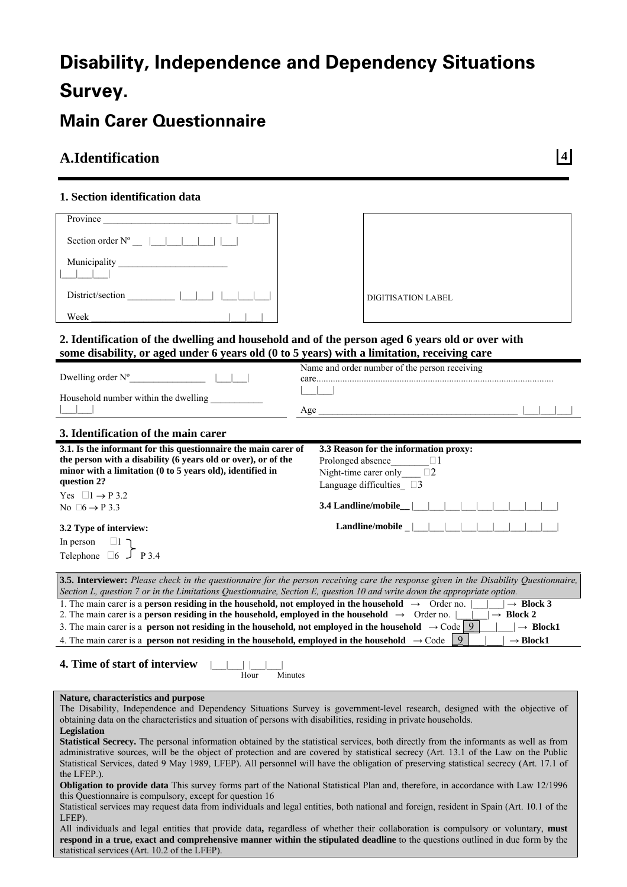# **Disability, Independence and Dependency Situations Survey.**

# **Main Carer Questionnaire**

# **A.Identification 4**

### **1. Section identification data**

| Province                                                                                                                                                                                                                                          |                                                                                                                                           |
|---------------------------------------------------------------------------------------------------------------------------------------------------------------------------------------------------------------------------------------------------|-------------------------------------------------------------------------------------------------------------------------------------------|
| Section order $N^{\circ}$ $\Box$ $\Box$                                                                                                                                                                                                           |                                                                                                                                           |
|                                                                                                                                                                                                                                                   |                                                                                                                                           |
|                                                                                                                                                                                                                                                   |                                                                                                                                           |
| District/section                                                                                                                                                                                                                                  |                                                                                                                                           |
|                                                                                                                                                                                                                                                   | <b>DIGITISATION LABEL</b>                                                                                                                 |
| Week                                                                                                                                                                                                                                              |                                                                                                                                           |
| 2. Identification of the dwelling and household and of the person aged 6 years old or over with<br>some disability, or aged under 6 years old (0 to 5 years) with a limitation, receiving care                                                    |                                                                                                                                           |
|                                                                                                                                                                                                                                                   | Name and order number of the person receiving                                                                                             |
| Dwelling order $N^{\circ}$ [10]                                                                                                                                                                                                                   |                                                                                                                                           |
| Household number within the dwelling                                                                                                                                                                                                              |                                                                                                                                           |
|                                                                                                                                                                                                                                                   |                                                                                                                                           |
|                                                                                                                                                                                                                                                   |                                                                                                                                           |
| 3. Identification of the main carer                                                                                                                                                                                                               |                                                                                                                                           |
| 3.1. Is the informant for this questionnaire the main carer of                                                                                                                                                                                    | 3.3 Reason for the information proxy:                                                                                                     |
| the person with a disability (6 years old or over), or of the<br>minor with a limitation (0 to 5 years old), identified in                                                                                                                        | Prolonged absence<br>$\Box$ 1                                                                                                             |
| question 2?                                                                                                                                                                                                                                       | Night-time carer only<br>$\square 2$                                                                                                      |
| Yes $\Box 1 \rightarrow P 3.2$                                                                                                                                                                                                                    | Language difficulties $\square$ 3                                                                                                         |
| No $\Box 6 \rightarrow P 3.3$                                                                                                                                                                                                                     | 3.4 Landline/mobile_                                                                                                                      |
|                                                                                                                                                                                                                                                   |                                                                                                                                           |
| 3.2 Type of interview:                                                                                                                                                                                                                            | Landline/mobile $\Box$                                                                                                                    |
| In person<br>$\Box$ ך                                                                                                                                                                                                                             |                                                                                                                                           |
| Telephone $\Box 6$ $\Box 7$ P 3.4                                                                                                                                                                                                                 |                                                                                                                                           |
|                                                                                                                                                                                                                                                   |                                                                                                                                           |
|                                                                                                                                                                                                                                                   | 3.5. Interviewer: Please check in the questionnaire for the person receiving care the response given in the Disability Questionnaire,     |
| Section L, question 7 or in the Limitations Questionnaire, Section E, question 10 and write down the appropriate option.<br>1. The main carer is a <b>person residing in the household, not employed in the household</b> $\rightarrow$ Order no. | $\rightarrow$ Block 3                                                                                                                     |
| 2. The main carer is a <b>person residing in the household, employed in the household</b> $\rightarrow$ Order no.                                                                                                                                 | $\rightarrow$ Block 2                                                                                                                     |
| 3. The main carer is a <b>person not residing in the household, not employed in the household</b> $\rightarrow$ Code 9                                                                                                                            | $\vert \rightarrow$ Block1                                                                                                                |
| 4. The main carer is a <b>person not residing in the household, employed in the household</b> $\rightarrow$ Code                                                                                                                                  | 9<br>$\rightarrow$ Block1                                                                                                                 |
|                                                                                                                                                                                                                                                   |                                                                                                                                           |
| 4. Time of start of interview                                                                                                                                                                                                                     |                                                                                                                                           |
| Hour<br>Minutes                                                                                                                                                                                                                                   |                                                                                                                                           |
|                                                                                                                                                                                                                                                   |                                                                                                                                           |
| Nature, characteristics and purpose                                                                                                                                                                                                               |                                                                                                                                           |
| obtaining data on the characteristics and situation of persons with disabilities, residing in private households.                                                                                                                                 | The Disability, Independence and Dependency Situations Survey is government-level research, designed with the objective of                |
| Legislation                                                                                                                                                                                                                                       |                                                                                                                                           |
|                                                                                                                                                                                                                                                   | Statistical Secrecy. The personal information obtained by the statistical services, both directly from the informants as well as from     |
|                                                                                                                                                                                                                                                   | administrative sources, will be the object of protection and are covered by statistical secrecy (Art. 13.1 of the Law on the Public       |
|                                                                                                                                                                                                                                                   | Statistical Services, dated 9 May 1989, LFEP). All personnel will have the obligation of preserving statistical secrecy (Art. 17.1 of     |
| the LFEP.).                                                                                                                                                                                                                                       |                                                                                                                                           |
|                                                                                                                                                                                                                                                   | Obligation to provide data This survey forms part of the National Statistical Plan and, therefore, in accordance with Law 12/1996         |
| this Questionnaire is compulsory, except for question 16                                                                                                                                                                                          | Statistical services may request data from individuals and legal entities, both national and foreign, resident in Spain (Art. 10.1 of the |

LFEP). All individuals and legal entities that provide data**,** regardless of whether their collaboration is compulsory or voluntary, **must respond in a true, exact and comprehensive manner within the stipulated deadline** to the questions outlined in due form by the

statistical services (Art. 10.2 of the LFEP).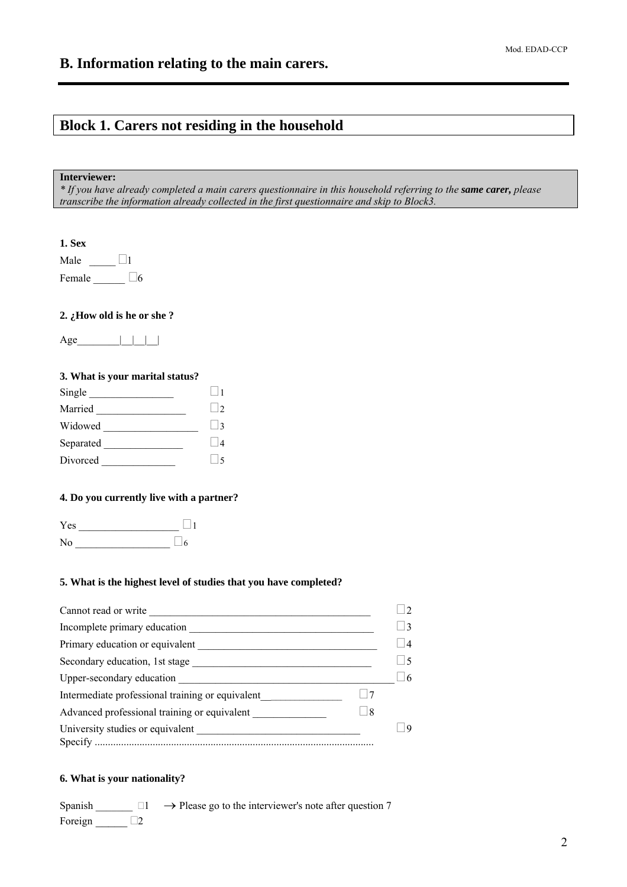# **Block 1. Carers not residing in the household**

#### **Interviewer:**

*\* If you have already completed a main carers questionnaire in this household referring to the same carer, please transcribe the information already collected in the first questionnaire and skip to Block3.* 

**1. Sex**

| Male   |  |
|--------|--|
| Female |  |

#### **2. ¿How old is he or she ?**

 $Age$  | | | | |

#### **3. What is your marital status?**

| Single    |                 |
|-----------|-----------------|
| Married   | $\vert \ \vert$ |
| Widowed   | $\vert$ 3       |
| Separated |                 |
| Divorced  |                 |

#### **4. Do you currently live with a partner?**

Yes \_\_\_\_\_\_\_\_\_\_\_\_\_\_\_\_\_\_\_ <sup>1</sup>  $\overline{\text{No}}$   $\overline{\text{No}}$ 

#### **5. What is the highest level of studies that you have completed?**

| Cannot read or write                                          |                     |
|---------------------------------------------------------------|---------------------|
| Incomplete primary education                                  |                     |
| Primary education or equivalent                               | 4                   |
| Secondary education, 1st stage                                |                     |
| Upper-secondary education                                     | $\left  \right $ 16 |
| Intermediate professional training or equivalent<br>$\vert$ 7 |                     |
| Advanced professional training or equivalent<br>8             |                     |
| University studies or equivalent                              |                     |

#### **6. What is your nationality?**

Spanish  $\Box$   $\Box$   $\rightarrow$  Please go to the interviewer's note after question 7 Foreign 2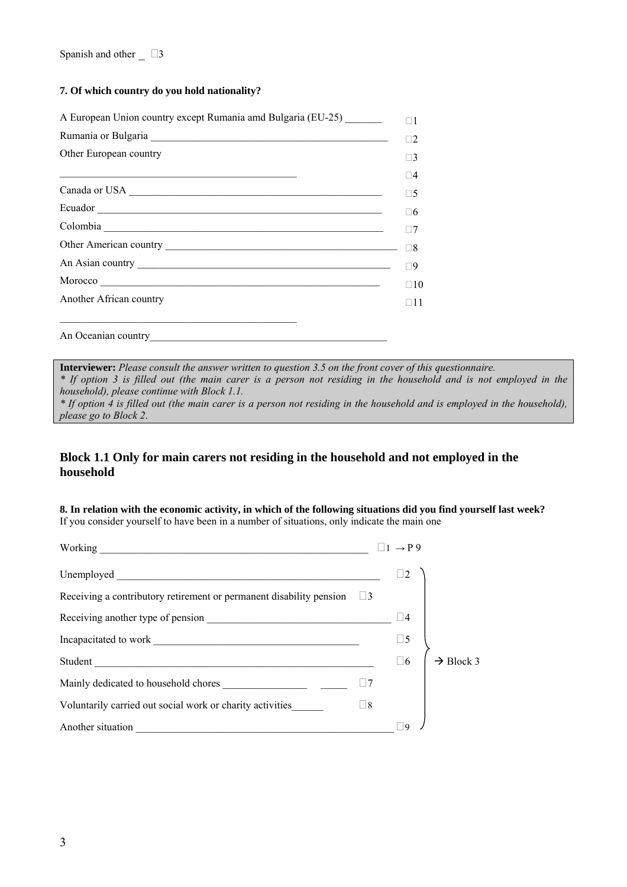#### **7. Of which country do you hold nationality?**

| A European Union country except Rumania amd Bulgaria (EU-25)                                                                                                                                                                   | Пl          |
|--------------------------------------------------------------------------------------------------------------------------------------------------------------------------------------------------------------------------------|-------------|
| Rumania or Bulgaria Land and a contract of the contract of the contract of the contract of the contract of the contract of the contract of the contract of the contract of the contract of the contract of the contract of the | $\Box$ 2    |
| Other European country                                                                                                                                                                                                         | $\Box$ 3    |
| <u> 1989 - Johann Harry Harry Harry Harry Harry Harry Harry Harry Harry Harry Harry Harry Harry Harry Harry Harry</u>                                                                                                          | $\Box 4$    |
|                                                                                                                                                                                                                                | $\Box 5$    |
|                                                                                                                                                                                                                                | $\square 6$ |
|                                                                                                                                                                                                                                | $\Box$ 7    |
|                                                                                                                                                                                                                                | $\Box$ 8    |
|                                                                                                                                                                                                                                | $\Box$ 9    |
| Morocco                                                                                                                                                                                                                        | $\Box$ 10   |
| Another African country                                                                                                                                                                                                        | $\Box$ 11   |
| An Oceanian country                                                                                                                                                                                                            |             |

**Interviewer:** *Please consult the answer written to question 3.5 on the front cover of this questionnaire. \* If option 3 is filled out (the main carer is a person not residing in the household and is not employed in the household), please continue with Block 1.1.* 

*\* If option 4 is filled out (the main carer is a person not residing in the household and is employed in the household), please go to Block 2*.

### **Block 1.1 Only for main carers not residing in the household and not employed in the household**

**8. In relation with the economic activity, in which of the following situations did you find yourself last week?**  If you consider yourself to have been in a number of situations, only indicate the main one

| Working North Communication of the Communication of the Communication of the Communication of the Communication of the Communication of the Communication of the Communication of the Communication of the Communication of th                            | $\Box 1 \rightarrow P$ 9 |                       |
|-----------------------------------------------------------------------------------------------------------------------------------------------------------------------------------------------------------------------------------------------------------|--------------------------|-----------------------|
|                                                                                                                                                                                                                                                           |                          |                       |
| Receiving a contributory retirement or permanent disability pension $\Box$ 3                                                                                                                                                                              |                          |                       |
|                                                                                                                                                                                                                                                           | 4                        |                       |
|                                                                                                                                                                                                                                                           | $\square$ 5              |                       |
| Student                                                                                                                                                                                                                                                   | $\square$ 6              | $\rightarrow$ Block 3 |
|                                                                                                                                                                                                                                                           |                          |                       |
| Voluntarily carried out social work or charity activities<br>$\sqcup$ 8                                                                                                                                                                                   |                          |                       |
| Another situation<br><u> 1989 - Johann John Stein, markin fan it fjort fan it fjort fan it fjort fan it fjort fan it fjort fan it fjort fan it fjort fan it fjort fan it fjort fan it fjort fan it fjort fan it fjort fan it fjort fan it fjort fan i</u> |                          |                       |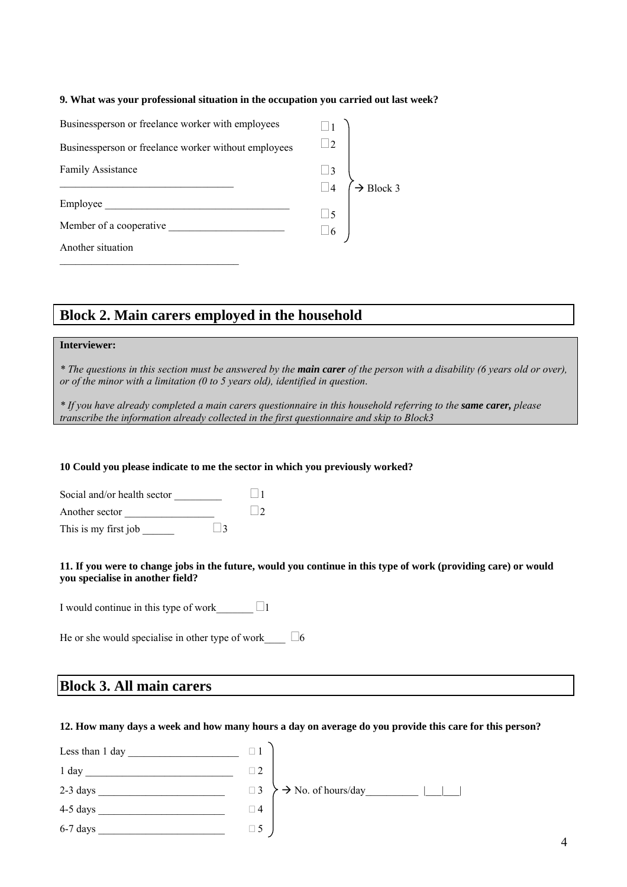#### **9. What was your professional situation in the occupation you carried out last week?**

| Businessperson or freelance worker with employees    |                      |                       |
|------------------------------------------------------|----------------------|-----------------------|
| Businessperson or freelance worker without employees | $\Box$ 2             |                       |
| Family Assistance                                    |                      |                       |
|                                                      | $\Box$ 3<br>$\Box$ 4 | $\rightarrow$ Block 3 |
| Employee                                             |                      |                       |
|                                                      | $\Box$ 5<br>$\Box$ 6 |                       |
| Member of a cooperative                              |                      |                       |
| Another situation                                    |                      |                       |

# **Block 2. Main carers employed in the household**

#### **Interviewer:**

*\* The questions in this section must be answered by the main carer of the person with a disability (6 years old or over), or of the minor with a limitation (0 to 5 years old), identified in question*.

*\* If you have already completed a main carers questionnaire in this household referring to the same carer, please transcribe the information already collected in the first questionnaire and skip to Block3* 

#### **10 Could you please indicate to me the sector in which you previously worked?**

| Social and/or health sector |                   |                 |
|-----------------------------|-------------------|-----------------|
| Another sector              |                   | $\vert \ \vert$ |
| This is my first job        | $\vert \ \vert$ 3 |                 |

#### **11. If you were to change jobs in the future, would you continue in this type of work (providing care) or would you specialise in another field?**

I would continue in this type of work\_\_\_\_\_\_  $\Box$ 1

He or she would specialise in other type of work  $\Box$  6

## **Block 3. All main carers**

#### **12. How many days a week and how many hours a day on average do you provide this care for this person?**

| Less than 1 day |          |                                |
|-----------------|----------|--------------------------------|
| $1$ day         | $\Box$ 2 |                                |
| 2-3 days        | $\Box$ 3 | $\rightarrow$ No. of hours/day |
| 4-5 days        | $\Box$ 4 |                                |
| 6-7 days        | $\Box$ 5 |                                |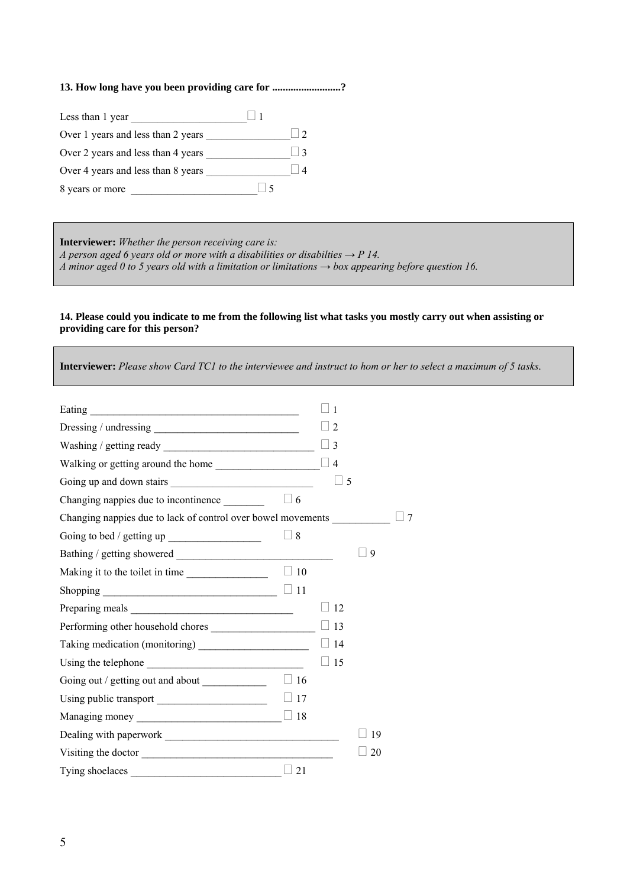### **13. How long have you been providing care for ..........................?**

| Less than 1 year                   |               |
|------------------------------------|---------------|
| Over 1 years and less than 2 years |               |
| Over 2 years and less than 4 years | $\frac{1}{3}$ |
| Over 4 years and less than 8 years |               |
| 8 years or more                    |               |

**Interviewer:** *Whether the person receiving care is: A person aged 6 years old or more with a disabilities or disabilties*  $\rightarrow$  *P 14. A minor aged 0 to 5 years old with a limitation or limitations → box appearing before question 16.* 

#### **14. Please could you indicate to me from the following list what tasks you mostly carry out when assisting or providing care for this person?**

**Interviewer:** *Please show Card TC1 to the interviewee and instruct to hom or her to select a maximum of 5 tasks*.

|                                                              |             | $\mathbf{1}$   |    |    |
|--------------------------------------------------------------|-------------|----------------|----|----|
|                                                              |             | 2              |    |    |
|                                                              |             | 3              |    |    |
|                                                              |             | $\overline{4}$ |    |    |
|                                                              |             | 5              |    |    |
| Changing nappies due to incontinence                         | $\vert$ 6   |                |    |    |
| Changing nappies due to lack of control over bowel movements |             |                |    | -7 |
|                                                              | $\sqcup$ 8  |                |    |    |
|                                                              |             |                | 9  |    |
| Making it to the toilet in time                              | $\Box$ 10   |                |    |    |
|                                                              |             |                |    |    |
|                                                              |             | 12             |    |    |
| Performing other household chores                            |             | 13             |    |    |
|                                                              |             | 14             |    |    |
|                                                              |             | $\perp$ 15     |    |    |
| Going out / getting out and about _____________              | $\Box$ 16   |                |    |    |
|                                                              | $\Box$ 17   |                |    |    |
|                                                              |             |                |    |    |
|                                                              |             |                | 19 |    |
| Visiting the doctor                                          |             |                | 20 |    |
|                                                              | $\sqcup$ 21 |                |    |    |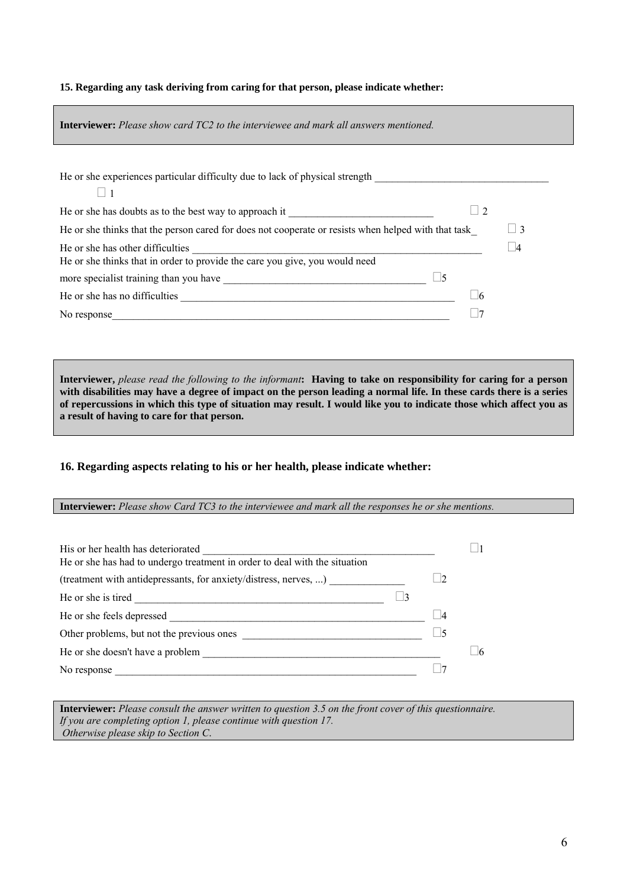#### **15. Regarding any task deriving from caring for that person, please indicate whether:**

| <b>Interviewer:</b> Please show card TC2 to the interviewee and mark all answers mentioned.                    |             |
|----------------------------------------------------------------------------------------------------------------|-------------|
| He or she experiences particular difficulty due to lack of physical strength _________________________________ |             |
| He or she has doubts as to the best way to approach it __________________________                              |             |
| He or she thinks that the person cared for does not cooperate or resists when helped with that task            | $\vert$   3 |
| He or she has other difficulties                                                                               | 4           |
|                                                                                                                |             |
|                                                                                                                |             |
| No response                                                                                                    |             |

**Interviewer,** *please read the following to the informant***: Having to take on responsibility for caring for a person with disabilities may have a degree of impact on the person leading a normal life. In these cards there is a series of repercussions in which this type of situation may result. I would like you to indicate those which affect you as a result of having to care for that person.** 

#### **16. Regarding aspects relating to his or her health, please indicate whether:**

#### **Interviewer:** *Please show Card TC3 to the interviewee and mark all the responses he or she mentions.*

| His or her health has deteriorated                                         |           |  |
|----------------------------------------------------------------------------|-----------|--|
| He or she has had to undergo treatment in order to deal with the situation |           |  |
| (treatment with antidepressants, for anxiety/distress, nerves, )           |           |  |
| He or she is tired                                                         |           |  |
| He or she feels depressed                                                  | $\vert 4$ |  |
| Other problems, but not the previous ones                                  |           |  |
| He or she doesn't have a problem                                           |           |  |
| No response                                                                |           |  |

**Interviewer:** *Please consult the answer written to question 3.5 on the front cover of this questionnaire. If you are completing option 1, please continue with question 17. Otherwise please skip to Section C*.